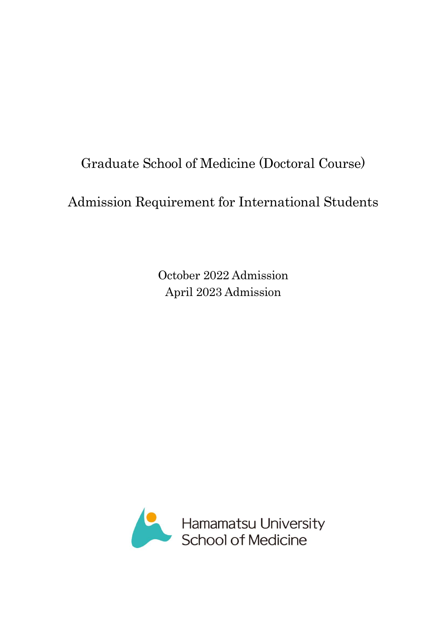# Graduate School of Medicine (Doctoral Course)

# Admission Requirement for International Students

October 2022 Admission April 2023 Admission

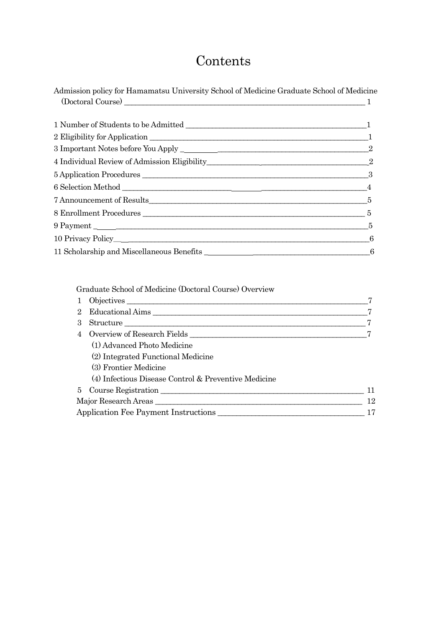# Contents

| Admission policy for Hamamatsu University School of Medicine Graduate School of Medicine |  |
|------------------------------------------------------------------------------------------|--|
| $\textbf{(Doctoral Course)} \textcolor{red}{\overbrace{\text{1}} \text{ }} \textbf{1}$   |  |
|                                                                                          |  |
|                                                                                          |  |
|                                                                                          |  |
|                                                                                          |  |
|                                                                                          |  |
|                                                                                          |  |
|                                                                                          |  |
|                                                                                          |  |
|                                                                                          |  |
|                                                                                          |  |
| 10 Privacy Policy <sub></sub> 6                                                          |  |
| 11 Scholarship and Miscellaneous Benefits 1 1 Scholarship 3 6                            |  |

Graduate School of Medicine (Doctoral Course) Overview

| $2^{\circ}$ | Educational Aims                                     |    |
|-------------|------------------------------------------------------|----|
| 3           | Structure                                            |    |
| 4           |                                                      |    |
|             | (1) Advanced Photo Medicine                          |    |
|             | (2) Integrated Functional Medicine                   |    |
|             | (3) Frontier Medicine                                |    |
|             | (4) Infectious Disease Control & Preventive Medicine |    |
|             | 5 Course Registration                                | 11 |
|             |                                                      | 12 |
|             | Application Fee Payment Instructions                 | 17 |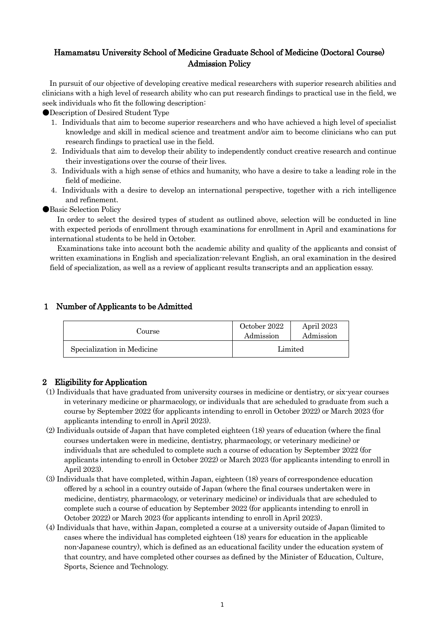# Hamamatsu University School of Medicine Graduate School of Medicine (Doctoral Course) Admission Policy

In pursuit of our objective of developing creative medical researchers with superior research abilities and clinicians with a high level of research ability who can put research findings to practical use in the field, we seek individuals who fit the following description:

●Description of Desired Student Type

- 1.Individuals that aim to become superior researchers and who have achieved a high level of specialist knowledge and skill in medical science and treatment and/or aim to become clinicians who can put research findings to practical use in the field.
- 2.Individuals that aim to develop their ability to independently conduct creative research and continue their investigations over the course of their lives.
- 3.Individuals with a high sense of ethics and humanity, who have a desire to take a leading role in the field of medicine.
- 4.Individuals with a desire to develop an international perspective, together with a rich intelligence and refinement.

**Basic Selection Policy** 

In order to select the desired types of student as outlined above, selection will be conducted in line with expected periods of enrollment through examinations for enrollment in April and examinations for international students to be held in October.

Examinations take into account both the academic ability and quality of the applicants and consist of written examinations in English and specialization-relevant English, an oral examination in the desired field of specialization, as well as a review of applicant results transcripts and an application essay.

## 1 Number of Applicants to be Admitted

| Course                     | October 2022<br>Admission | April 2023<br>Admission |
|----------------------------|---------------------------|-------------------------|
| Specialization in Medicine | Limited                   |                         |

# 2 Eligibility for Application

- (1) Individuals that have graduated from university courses in medicine or dentistry, or six-year courses in veterinary medicine or pharmacology, or individuals that are scheduled to graduate from such a course by September 2022 (for applicants intending to enroll in October 2022) or March 2023 (for applicants intending to enroll in April 2023).
- (2) Individuals outside of Japan that have completed eighteen (18) years of education (where the final courses undertaken were in medicine, dentistry, pharmacology, or veterinary medicine) or individuals that are scheduled to complete such a course of education by September 2022 (for applicants intending to enroll in October 2022) or March 2023 (for applicants intending to enroll in April 2023).
- (3) Individuals that have completed, within Japan, eighteen (18) years of correspondence education offered by a school in a country outside of Japan (where the final courses undertaken were in medicine, dentistry, pharmacology, or veterinary medicine) or individuals that are scheduled to complete such a course of education by September 2022 (for applicants intending to enroll in October 2022) or March 2023 (for applicants intending to enroll in April 2023).
- (4) Individuals that have, within Japan, completed a course at a university outside of Japan (limited to cases where the individual has completed eighteen (18) years for education in the applicable non-Japanese country), which is defined as an educational facility under the education system of that country, and have completed other courses as defined by the Minister of Education, Culture, Sports, Science and Technology.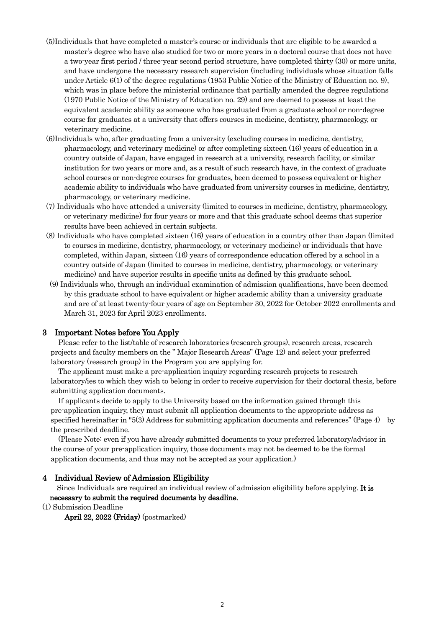- (5)Individuals that have completed a master's course or individuals that are eligible to be awarded a master's degree who have also studied for two or more years in a doctoral course that does not have a two-year first period / three-year second period structure, have completed thirty (30) or more units, and have undergone the necessary research supervision (including individuals whose situation falls under Article 6(1) of the degree regulations (1953 Public Notice of the Ministry of Education no. 9), which was in place before the ministerial ordinance that partially amended the degree regulations (1970 Public Notice of the Ministry of Education no. 29) and are deemed to possess at least the equivalent academic ability as someone who has graduated from a graduate school or non-degree course for graduates at a university that offers courses in medicine, dentistry, pharmacology, or veterinary medicine.
- (6)Individuals who, after graduating from a university (excluding courses in medicine, dentistry, pharmacology, and veterinary medicine) or after completing sixteen (16) years of education in a country outside of Japan, have engaged in research at a university, research facility, or similar institution for two years or more and, as a result of such research have, in the context of graduate school courses or non-degree courses for graduates, been deemed to possess equivalent or higher academic ability to individuals who have graduated from university courses in medicine, dentistry, pharmacology, or veterinary medicine.
- (7) Individuals who have attended a university (limited to courses in medicine, dentistry, pharmacology, or veterinary medicine) for four years or more and that this graduate school deems that superior results have been achieved in certain subjects.
- (8) Individuals who have completed sixteen (16) years of education in a country other than Japan (limited to courses in medicine, dentistry, pharmacology, or veterinary medicine) or individuals that have completed, within Japan, sixteen (16) years of correspondence education offered by a school in a country outside of Japan (limited to courses in medicine, dentistry, pharmacology, or veterinary medicine) and have superior results in specific units as defined by this graduate school.
- (9) Individuals who, through an individual examination of admission qualifications, have been deemed by this graduate school to have equivalent or higher academic ability than a university graduate and are of at least twenty-four years of age on September 30, 2022 for October 2022 enrollments and March 31, 2023 for April 2023 enrollments.

## 3 Important Notes before You Apply

Please refer to the list/table of research laboratories (research groups), research areas, research projects and faculty members on the " Major Research Areas" (Page 12) and select your preferred laboratory (research group) in the Program you are applying for.

The applicant must make a pre-application inquiry regarding research projects to research laboratory/ies to which they wish to belong in order to receive supervision for their doctoral thesis, before submitting application documents.

If applicants decide to apply to the University based on the information gained through this pre-application inquiry, they must submit all application documents to the appropriate address as specified hereinafter in "5(3) Address for submitting application documents and references" (Page 4) by the prescribed deadline.

(Please Note: even if you have already submitted documents to your preferred laboratory/advisor in the course of your pre-application inquiry, those documents may not be deemed to be the formal application documents, and thus may not be accepted as your application.)

### 4 Individual Review of Admission Eligibility

Since Individuals are required an individual review of admission eligibility before applying. It is necessary to submit the required documents by deadline.

(1) Submission Deadline

April 22, 2022 (Friday) (postmarked)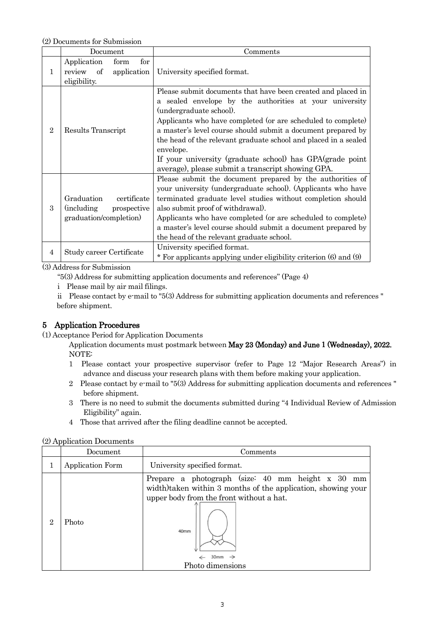(2) Documents for Submission

|                | Document                                                                                 | Comments                                                                                                                                                                                                                                                                                                                                                                                                                                                                             |
|----------------|------------------------------------------------------------------------------------------|--------------------------------------------------------------------------------------------------------------------------------------------------------------------------------------------------------------------------------------------------------------------------------------------------------------------------------------------------------------------------------------------------------------------------------------------------------------------------------------|
| 1              | Application<br>for<br>form<br>of<br>application<br>review<br>eligibility.                | University specified format.                                                                                                                                                                                                                                                                                                                                                                                                                                                         |
| $\overline{2}$ | Results Transcript                                                                       | Please submit documents that have been created and placed in<br>a sealed envelope by the authorities at your university<br>(undergraduate school).<br>Applicants who have completed (or are scheduled to complete)<br>a master's level course should submit a document prepared by<br>the head of the relevant graduate school and placed in a sealed<br>envelope.<br>If your university (graduate school) has GPA (grade point<br>average), please submit a transcript showing GPA. |
| 3              | Graduation<br>certificate<br><i>(including)</i><br>prospective<br>graduation/completion) | Please submit the document prepared by the authorities of<br>your university (undergraduate school). (Applicants who have<br>terminated graduate level studies without completion should<br>also submit proof of withdrawal).<br>Applicants who have completed (or are scheduled to complete)<br>a master's level course should submit a document prepared by<br>the head of the relevant graduate school.                                                                           |
| 4              | Study career Certificate                                                                 | University specified format.<br>* For applicants applying under eligibility criterion (6) and (9)                                                                                                                                                                                                                                                                                                                                                                                    |

(3) Address for Submission

"5(3) Address for submitting application documents and references" (Page 4)

i Please mail by air mail filings.

 ii Please contact by e-mail to "5(3) Address for submitting application documents and references " before shipment.

# 5 Application Procedures

(1) Acceptance Period for Application Documents

Application documents must postmark between May 23 (Monday) and June 1 (Wednesday), 2022. NOTE:

- 1 Please contact your prospective supervisor (refer to Page 12 "Major Research Areas") in advance and discuss your research plans with them before making your application.
- 2 Please contact by e-mail to "5(3) Address for submitting application documents and references " before shipment.
- 3 There is no need to submit the documents submitted during "4 Individual Review of Admission Eligibility" again.
- 4 Those that arrived after the filing deadline cannot be accepted.

## (2) Application Documents

|   | Document                | Comments                                                                                                                                                                                                                          |  |  |
|---|-------------------------|-----------------------------------------------------------------------------------------------------------------------------------------------------------------------------------------------------------------------------------|--|--|
|   | <b>Application Form</b> | University specified format.                                                                                                                                                                                                      |  |  |
| 2 | Photo                   | Prepare a photograph (size: 40 mm height x 30<br>mm<br>width) taken within 3 months of the application, showing your<br>upper body from the front without a hat.<br>40mm<br>30 <sub>mm</sub><br>$\rightarrow$<br>Photo dimensions |  |  |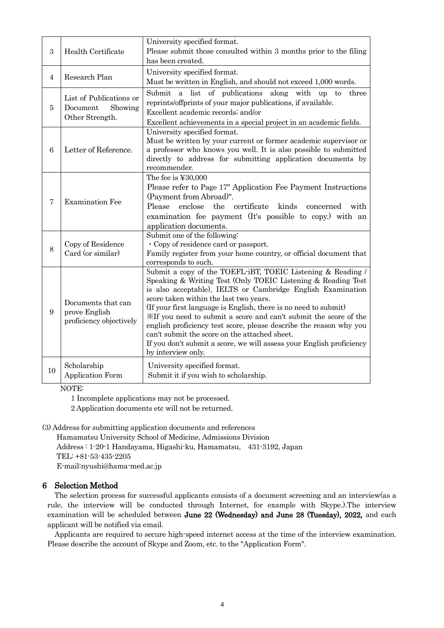| 3               | Health Certificate                                                | University specified format.<br>Please submit those consulted within 3 months prior to the filing<br>has been created.                                                                                                                                                                                                                                                                                                                                                                                                                                                                           |  |  |
|-----------------|-------------------------------------------------------------------|--------------------------------------------------------------------------------------------------------------------------------------------------------------------------------------------------------------------------------------------------------------------------------------------------------------------------------------------------------------------------------------------------------------------------------------------------------------------------------------------------------------------------------------------------------------------------------------------------|--|--|
| $\overline{4}$  | Research Plan                                                     | University specified format.<br>Must be written in English, and should not exceed 1,000 words.                                                                                                                                                                                                                                                                                                                                                                                                                                                                                                   |  |  |
| 5               | List of Publications or<br>Showing<br>Document<br>Other Strength. | Submit<br>a list of publications along with<br>up to<br>three<br>reprints/offprints of your major publications, if available.<br>Excellent academic records; and/or<br>Excellent achievements in a special project in an academic fields.                                                                                                                                                                                                                                                                                                                                                        |  |  |
| $6\phantom{.}6$ | Letter of Reference.                                              | University specified format.<br>Must be written by your current or former academic supervisor or<br>a professor who knows you well. It is also possible to submitted<br>directly to address for submitting application documents by<br>recommender.                                                                                                                                                                                                                                                                                                                                              |  |  |
| $\overline{7}$  | <b>Examination Fee</b>                                            | The fee is $\textcolor{red}{\textbf{\text{Y}}30,000}$<br>Please refer to Page 17" Application Fee Payment Instructions<br>(Payment from Abroad)".<br>Please<br>certificate<br>enclose<br>the<br>kinds<br>concerned with<br>examination fee payment (It's possible to copy.) with an<br>application documents.                                                                                                                                                                                                                                                                                    |  |  |
| 8               | Copy of Residence<br>Card (or similar)                            | Submit one of the following:<br>• Copy of residence card or passport.<br>Family register from your home country, or official document that<br>corresponds to such.                                                                                                                                                                                                                                                                                                                                                                                                                               |  |  |
| $9\phantom{.}$  | Documents that can<br>prove English<br>proficiency objectively    | Submit a copy of the TOEFL-iBT, TOEIC Listening & Reading /<br>Speaking & Writing Test (Only TOEIC Listening & Reading Test<br>is also acceptable), IELTS or Cambridge English Examination<br>score taken within the last two years.<br>(If your first language is English, there is no need to submit)<br>XIf you need to submit a score and can't submit the score of the<br>english proficiency test score, please describe the reason why you<br>can't submit the score on the attached sheet.<br>If you don't submit a score, we will assess your English proficiency<br>by interview only. |  |  |
| 10              | Scholarship<br>Application Form                                   | University specified format.<br>Submit it if you wish to scholarship.                                                                                                                                                                                                                                                                                                                                                                                                                                                                                                                            |  |  |

NOTE:

1 Incomplete applications may not be processed.

2 Application documents etc will not be returned.

(3) Address for submitting application documents and references

Hamamatsu University School of Medicine, Admissions Division Address : 1-20-1 Handayama, Higashi-ku, Hamamatsu, 431-3192, Japan TEL: +81-53-435-2205 E-mail:nyushi@hama-med.ac.jp

# 6 Selection Method

The selection process for successful applicants consists of a document screening and an interview(as a rule, the interview will be conducted through Internet, for example with Skype.).The interview examination will be scheduled between June 22 (Wednesday) and June 28 (Tuesday), 2022, and each applicant will be notified via email.

Applicants are required to secure high-speed internet access at the time of the interview examination. Please describe the account of Skype and Zoom, etc. to the "Application Form".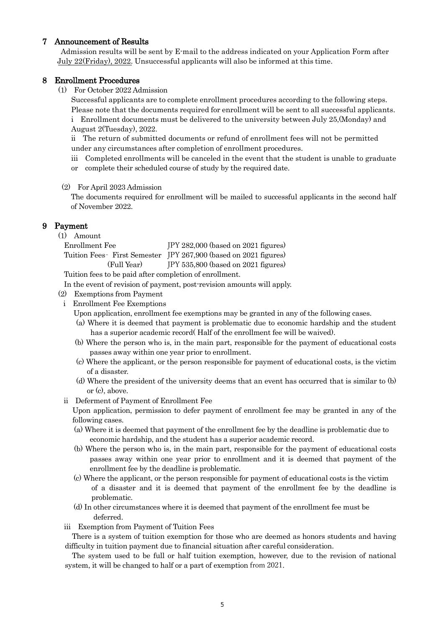## 7 Announcement of Results

Admission results will be sent by E-mail to the address indicated on your Application Form after July 22(Friday), 2022. Unsuccessful applicants will also be informed at this time.

## 8 Enrollment Procedures

(1) For October 2022 Admission

Successful applicants are to complete enrollment procedures according to the following steps. Please note that the documents required for enrollment will be sent to all successful applicants.

i Enrollment documents must be delivered to the university between July 25,(Monday) and August 2(Tuesday), 2022.

ii The return of submitted documents or refund of enrollment fees will not be permitted under any circumstances after completion of enrollment procedures.

- iii Completed enrollments will be canceled in the event that the student is unable to graduate
- or complete their scheduled course of study by the required date.

## (2) For April 2023 Admission

The documents required for enrollment will be mailed to successful applicants in the second half of November 2022.

# 9 Payment

| $\left( 1\right)$ | Amount |  |
|-------------------|--------|--|
|                   |        |  |

| Enrollment Fee                                                                                              | $IPY 282,000$ (based on 2021 figures)                           |
|-------------------------------------------------------------------------------------------------------------|-----------------------------------------------------------------|
|                                                                                                             | Tuition Fees-First Semester JPY 267,900 (based on 2021 figures) |
| (Full Year)                                                                                                 | $JPY 535,800$ (based on 2021 figures)                           |
| $\mathbf{m}$ , and $\mathbf{m}$ , and $\mathbf{m}$ , and $\mathbf{n}$ , and $\mathbf{n}$ , and $\mathbf{n}$ |                                                                 |

Tuition fees to be paid after completion of enrollment.

In the event of revision of payment, post-revision amounts will apply.

- (2) Exemptions from Payment
	- i Enrollment Fee Exemptions
		- Upon application, enrollment fee exemptions may be granted in any of the following cases.
		- (a) Where it is deemed that payment is problematic due to economic hardship and the student has a superior academic record( Half of the enrollment fee will be waived).
		- (b) Where the person who is, in the main part, responsible for the payment of educational costs passes away within one year prior to enrollment.
		- (c) Where the applicant, or the person responsible for payment of educational costs, is the victim of a disaster.
		- (d) Where the president of the university deems that an event has occurred that is similar to (b) or (c), above.
	- ii Deferment of Payment of Enrollment Fee

Upon application, permission to defer payment of enrollment fee may be granted in any of the following cases.

- (a) Where it is deemed that payment of the enrollment fee by the deadline is problematic due to economic hardship, and the student has a superior academic record.
- (b) Where the person who is, in the main part, responsible for the payment of educational costs passes away within one year prior to enrollment and it is deemed that payment of the enrollment fee by the deadline is problematic.
- (c) Where the applicant, or the person responsible for payment of educational costs is the victim of a disaster and it is deemed that payment of the enrollment fee by the deadline is problematic.
- (d) In other circumstances where it is deemed that payment of the enrollment fee must be deferred.
- iii Exemption from Payment of Tuition Fees

 There is a system of tuition exemption for those who are deemed as honors students and having difficulty in tuition payment due to financial situation after careful consideration.

The system used to be full or half tuition exemption, however, due to the revision of national system, it will be changed to half or a part of exemption from 2021.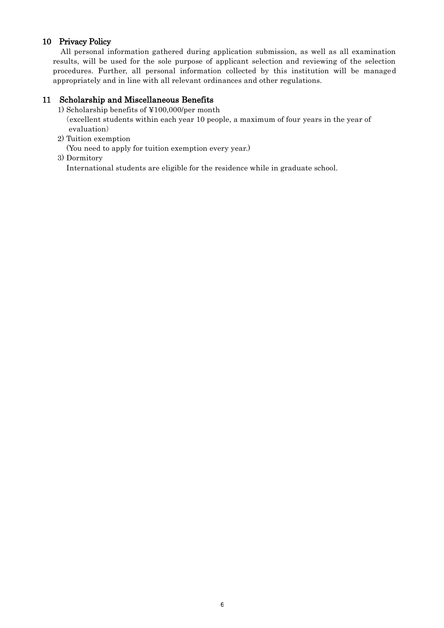# 10 Privacy Policy

All personal information gathered during application submission, as well as all examination results, will be used for the sole purpose of applicant selection and reviewing of the selection procedures. Further, all personal information collected by this institution will be managed appropriately and in line with all relevant ordinances and other regulations.

# 11 Scholarship and Miscellaneous Benefits

- 1) Scholarship benefits of ¥100,000/per month (excellent students within each year 10 people, a maximum of four years in the year of evaluation)
- 2) Tuition exemption

(You need to apply for tuition exemption every year.)

3) Dormitory

International students are eligible for the residence while in graduate school.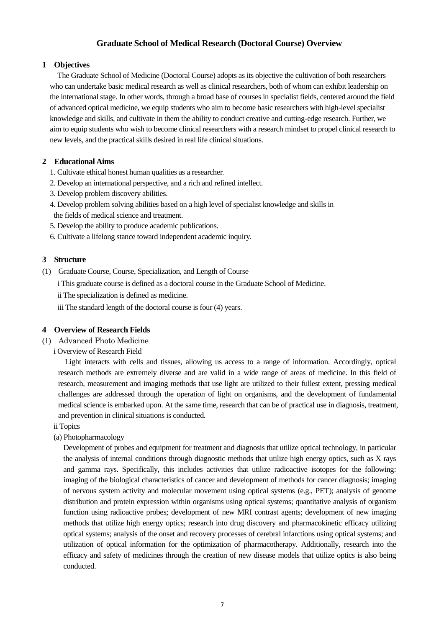# **Graduate School of Medical Research (Doctoral Course) Overview**

## **1 Objectives**

The Graduate School of Medicine (Doctoral Course) adopts as its objective the cultivation of both researchers who can undertake basic medical research as well as clinical researchers, both of whom can exhibit leadership on the international stage. In other words, through a broad base of courses in specialist fields, centered around the field of advanced optical medicine, we equip students who aim to become basic researchers with high-level specialist knowledge and skills, and cultivate in them the ability to conduct creative and cutting-edge research. Further, we aim to equip students who wish to become clinical researchers with a research mindset to propel clinical research to new levels, and the practical skills desired in real life clinical situations.

# **2 Educational Aims**

- 1. Cultivate ethical honest human qualities as a researcher.
- 2. Develop an international perspective, and a rich and refined intellect.
- 3. Develop problem discovery abilities.
- 4. Develop problem solving abilities based on a high level of specialist knowledge and skills in the fields of medical science and treatment.
- 5. Develop the ability to produce academic publications.
- 6. Cultivate a lifelong stance toward independent academic inquiry.

# **3 Structure**

- (1) Graduate Course, Course, Specialization, and Length of Course
	- i This graduate course is defined as a doctoral course in the Graduate School of Medicine.

ii The specialization is defined as medicine.

iii The standard length of the doctoral course is four (4) years.

# **4 Overview of Research Fields**

- (1) Advanced Photo Medicine
	- i Overview of Research Field

 Light interacts with cells and tissues, allowing us access to a range of information. Accordingly, optical research methods are extremely diverse and are valid in a wide range of areas of medicine. In this field of research, measurement and imaging methods that use light are utilized to their fullest extent, pressing medical challenges are addressed through the operation of light on organisms, and the development of fundamental medical science is embarked upon. At the same time, research that can be of practical use in diagnosis, treatment, and prevention in clinical situations is conducted.

- ii Topics
- (a) Photopharmacology

Development of probes and equipment for treatment and diagnosis that utilize optical technology, in particular the analysis of internal conditions through diagnostic methods that utilize high energy optics, such as X rays and gamma rays. Specifically, this includes activities that utilize radioactive isotopes for the following: imaging of the biological characteristics of cancer and development of methods for cancer diagnosis; imaging of nervous system activity and molecular movement using optical systems (e.g., PET); analysis of genome distribution and protein expression within organisms using optical systems; quantitative analysis of organism function using radioactive probes; development of new MRI contrast agents; development of new imaging methods that utilize high energy optics; research into drug discovery and pharmacokinetic efficacy utilizing optical systems; analysis of the onset and recovery processes of cerebral infarctions using optical systems; and utilization of optical information for the optimization of pharmacotherapy. Additionally, research into the efficacy and safety of medicines through the creation of new disease models that utilize optics is also being conducted.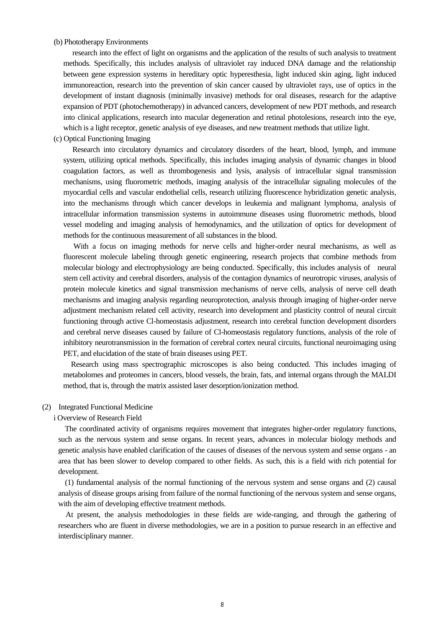### (b) Phototherapy Environments

 research into the effect of light on organisms and the application of the results of such analysis to treatment methods. Specifically, this includes analysis of ultraviolet ray induced DNA damage and the relationship between gene expression systems in hereditary optic hyperesthesia, light induced skin aging, light induced immunoreaction, research into the prevention of skin cancer caused by ultraviolet rays, use of optics in the development of instant diagnosis (minimally invasive) methods for oral diseases, research for the adaptive expansion of PDT (photochemotherapy) in advanced cancers, development of new PDT methods, and research into clinical applications, research into macular degeneration and retinal photolesions, research into the eye, which is a light receptor, genetic analysis of eye diseases, and new treatment methods that utilize light.

### (c) Optical Functioning Imaging

 Research into circulatory dynamics and circulatory disorders of the heart, blood, lymph, and immune system, utilizing optical methods. Specifically, this includes imaging analysis of dynamic changes in blood coagulation factors, as well as thrombogenesis and lysis, analysis of intracellular signal transmission mechanisms, using fluorometric methods, imaging analysis of the intracellular signaling molecules of the myocardial cells and vascular endothelial cells, research utilizing fluorescence hybridization genetic analysis, into the mechanisms through which cancer develops in leukemia and malignant lymphoma, analysis of intracellular information transmission systems in autoimmune diseases using fluorometric methods, blood vessel modeling and imaging analysis of hemodynamics, and the utilization of optics for development of methods for the continuous measurement of all substances in the blood.

 With a focus on imaging methods for nerve cells and higher-order neural mechanisms, as well as fluorescent molecule labeling through genetic engineering, research projects that combine methods from molecular biology and electrophysiology are being conducted. Specifically, this includes analysis of neural stem cell activity and cerebral disorders, analysis of the contagion dynamics of neurotropic viruses, analysis of protein molecule kinetics and signal transmission mechanisms of nerve cells, analysis of nerve cell death mechanisms and imaging analysis regarding neuroprotection, analysis through imaging of higher-order nerve adjustment mechanism related cell activity, research into development and plasticity control of neural circuit functioning through active Cl-homeostasis adjustment, research into cerebral function development disorders and cerebral nerve diseases caused by failure of Cl-homeostasis regulatory functions, analysis of the role of inhibitory neurotransmission in the formation of cerebral cortex neural circuits, functional neuroimaging using PET, and elucidation of the state of brain diseases using PET.

Research using mass spectrographic microscopes is also being conducted. This includes imaging of metabolomes and proteomes in cancers, blood vessels, the brain, fats, and internal organs through the MALDI method, that is, through the matrix assisted laser desorption/ionization method.

#### (2) Integrated Functional Medicine

#### i Overview of Research Field

 The coordinated activity of organisms requires movement that integrates higher-order regulatory functions, such as the nervous system and sense organs. In recent years, advances in molecular biology methods and genetic analysis have enabled clarification of the causes of diseases of the nervous system and sense organs - an area that has been slower to develop compared to other fields. As such, this is a field with rich potential for development.

 (1) fundamental analysis of the normal functioning of the nervous system and sense organs and (2) causal analysis of disease groups arising from failure of the normal functioning of the nervous system and sense organs, with the aim of developing effective treatment methods.

 At present, the analysis methodologies in these fields are wide-ranging, and through the gathering of researchers who are fluent in diverse methodologies, we are in a position to pursue research in an effective and interdisciplinary manner.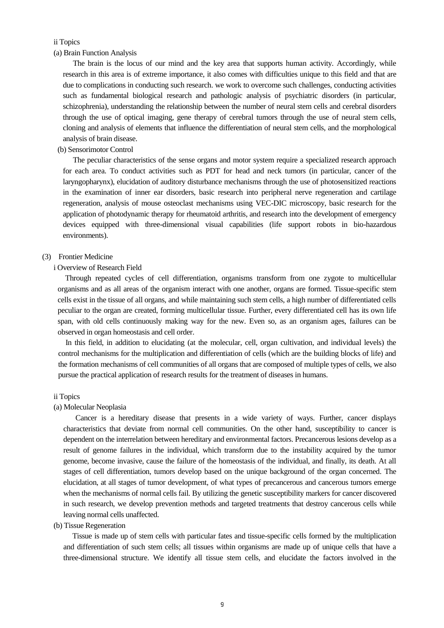## ii Topics

(a) Brain Function Analysis

The brain is the locus of our mind and the key area that supports human activity. Accordingly, while research in this area is of extreme importance, it also comes with difficulties unique to this field and that are due to complications in conducting such research. we work to overcome such challenges, conducting activities such as fundamental biological research and pathologic analysis of psychiatric disorders (in particular, schizophrenia), understanding the relationship between the number of neural stem cells and cerebral disorders through the use of optical imaging, gene therapy of cerebral tumors through the use of neural stem cells, cloning and analysis of elements that influence the differentiation of neural stem cells, and the morphological analysis of brain disease.

(b) Sensorimotor Control

The peculiar characteristics of the sense organs and motor system require a specialized research approach for each area. To conduct activities such as PDT for head and neck tumors (in particular, cancer of the laryngopharynx), elucidation of auditory disturbance mechanisms through the use of photosensitized reactions in the examination of inner ear disorders, basic research into peripheral nerve regeneration and cartilage regeneration, analysis of mouse osteoclast mechanisms using VEC-DIC microscopy, basic research for the application of photodynamic therapy for rheumatoid arthritis, and research into the development of emergency devices equipped with three-dimensional visual capabilities (life support robots in bio-hazardous environments).

#### (3) Frontier Medicine

### i Overview of Research Field

Through repeated cycles of cell differentiation, organisms transform from one zygote to multicellular organisms and as all areas of the organism interact with one another, organs are formed. Tissue-specific stem cells exist in the tissue of all organs, and while maintaining such stem cells, a high number of differentiated cells peculiar to the organ are created, forming multicellular tissue. Further, every differentiated cell has its own life span, with old cells continuously making way for the new. Even so, as an organism ages, failures can be observed in organ homeostasis and cell order.

 In this field, in addition to elucidating (at the molecular, cell, organ cultivation, and individual levels) the control mechanisms for the multiplication and differentiation of cells (which are the building blocks of life) and the formation mechanisms of cell communities of all organs that are composed of multiple types of cells, we also pursue the practical application of research results for the treatment of diseases in humans.

#### ii Topics

#### (a) Molecular Neoplasia

 Cancer is a hereditary disease that presents in a wide variety of ways. Further, cancer displays characteristics that deviate from normal cell communities. On the other hand, susceptibility to cancer is dependent on the interrelation between hereditary and environmental factors. Precancerous lesions develop as a result of genome failures in the individual, which transform due to the instability acquired by the tumor genome, become invasive, cause the failure of the homeostasis of the individual, and finally, its death. At all stages of cell differentiation, tumors develop based on the unique background of the organ concerned. The elucidation, at all stages of tumor development, of what types of precancerous and cancerous tumors emerge when the mechanisms of normal cells fail. By utilizing the genetic susceptibility markers for cancer discovered in such research, we develop prevention methods and targeted treatments that destroy cancerous cells while leaving normal cells unaffected.

## (b) Tissue Regeneration

 Tissue is made up of stem cells with particular fates and tissue-specific cells formed by the multiplication and differentiation of such stem cells; all tissues within organisms are made up of unique cells that have a three-dimensional structure. We identify all tissue stem cells, and elucidate the factors involved in the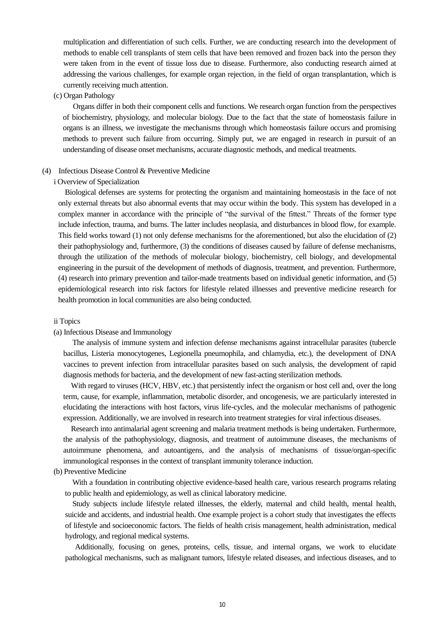multiplication and differentiation of such cells. Further, we are conducting research into the development of methods to enable cell transplants of stem cells that have been removed and frozen back into the person they were taken from in the event of tissue loss due to disease. Furthermore, also conducting research aimed at addressing the various challenges, for example organ rejection, in the field of organ transplantation, which is currently receiving much attention.

#### (c) Organ Pathology

Organs differ in both their component cells and functions. We research organ function from the perspectives of biochemistry, physiology, and molecular biology. Due to the fact that the state of homeostasis failure in organs is an illness, we investigate the mechanisms through which homeostasis failure occurs and promising methods to prevent such failure from occurring. Simply put, we are engaged in research in pursuit of an understanding of disease onset mechanisms, accurate diagnostic methods, and medical treatments.

### (4) Infectious Disease Control & Preventive Medicine

#### i Overview of Specialization

 Biological defenses are systems for protecting the organism and maintaining homeostasis in the face of not only external threats but also abnormal events that may occur within the body. This system has developed in a complex manner in accordance with the principle of "the survival of the fittest." Threats of the former type include infection, trauma, and burns. The latter includes neoplasia, and disturbances in blood flow, for example. This field works toward (1) not only defense mechanisms for the aforementioned, but also the elucidation of (2) their pathophysiology and, furthermore, (3) the conditions of diseases caused by failure of defense mechanisms, through the utilization of the methods of molecular biology, biochemistry, cell biology, and developmental engineering in the pursuit of the development of methods of diagnosis, treatment, and prevention. Furthermore, (4) research into primary prevention and tailor-made treatments based on individual genetic information, and (5) epidemiological research into risk factors for lifestyle related illnesses and preventive medicine research for health promotion in local communities are also being conducted.

#### ii Topics

#### (a) Infectious Disease and Immunology

 The analysis of immune system and infection defense mechanisms against intracellular parasites (tubercle bacillus, Listeria monocytogenes, Legionella pneumophila, and chlamydia, etc.), the development of DNA vaccines to prevent infection from intracellular parasites based on such analysis, the development of rapid diagnosis methods for bacteria, and the development of new fast-acting sterilization methods.

With regard to viruses (HCV, HBV, etc.) that persistently infect the organism or host cell and, over the long term, cause, for example, inflammation, metabolic disorder, and oncogenesis, we are particularly interested in elucidating the interactions with host factors, virus life-cycles, and the molecular mechanisms of pathogenic expression. Additionally, we are involved in research into treatment strategies for viral infectious diseases.

Research into antimalarial agent screening and malaria treatment methods is being undertaken. Furthermore, the analysis of the pathophysiology, diagnosis, and treatment of autoimmune diseases, the mechanisms of autoimmune phenomena, and autoantigens, and the analysis of mechanisms of tissue/organ-specific immunological responses in the context of transplant immunity tolerance induction.

## (b) Preventive Medicine

With a foundation in contributing objective evidence-based health care, various research programs relating to public health and epidemiology, as well as clinical laboratory medicine.

 Study subjects include lifestyle related illnesses, the elderly, maternal and child health, mental health, suicide and accidents, and industrial health. One example project is a cohort study that investigates the effects of lifestyle and socioeconomic factors. The fields of health crisis management, health administration, medical hydrology, and regional medical systems.

 Additionally, focusing on genes, proteins, cells, tissue, and internal organs, we work to elucidate pathological mechanisms, such as malignant tumors, lifestyle related diseases, and infectious diseases, and to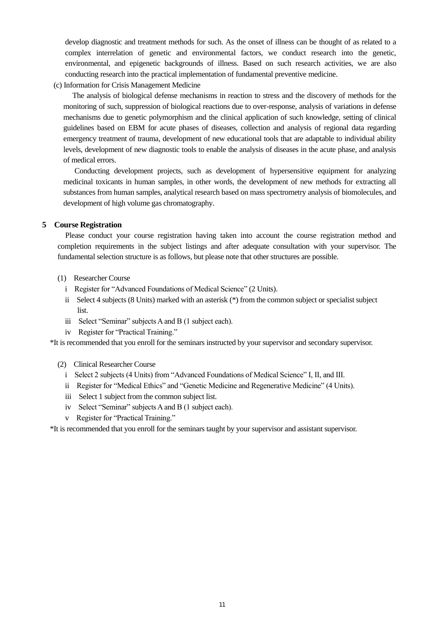develop diagnostic and treatment methods for such. As the onset of illness can be thought of as related to a complex interrelation of genetic and environmental factors, we conduct research into the genetic, environmental, and epigenetic backgrounds of illness. Based on such research activities, we are also conducting research into the practical implementation of fundamental preventive medicine.

(c) Information for Crisis Management Medicine

 The analysis of biological defense mechanisms in reaction to stress and the discovery of methods for the monitoring of such, suppression of biological reactions due to over-response, analysis of variations in defense mechanisms due to genetic polymorphism and the clinical application of such knowledge, setting of clinical guidelines based on EBM for acute phases of diseases, collection and analysis of regional data regarding emergency treatment of trauma, development of new educational tools that are adaptable to individual ability levels, development of new diagnostic tools to enable the analysis of diseases in the acute phase, and analysis of medical errors.

 Conducting development projects, such as development of hypersensitive equipment for analyzing medicinal toxicants in human samples, in other words, the development of new methods for extracting all substances from human samples, analytical research based on mass spectrometry analysis of biomolecules, and development of high volume gas chromatography.

## **5 Course Registration**

Please conduct your course registration having taken into account the course registration method and completion requirements in the subject listings and after adequate consultation with your supervisor. The fundamental selection structure is as follows, but please note that other structures are possible.

- (1) Researcher Course
	- i Register for "Advanced Foundations of Medical Science" (2 Units).
	- ii Select 4 subjects (8 Units) marked with an asterisk (\*) from the common subject or specialist subject list.
	- iii Select "Seminar" subjects A and B (1 subject each).
	- iv Register for "Practical Training."

\*It is recommended that you enroll for the seminars instructed by your supervisor and secondary supervisor.

- (2) Clinical Researcher Course
	- i Select 2 subjects (4 Units) from "Advanced Foundations of Medical Science" I, II, and III.
	- ii Register for "Medical Ethics" and "Genetic Medicine and Regenerative Medicine" (4 Units).
	- iii Select 1 subject from the common subject list.
	- iv Select "Seminar" subjects A and B (1 subject each).
	- v Register for "Practical Training."

\*It is recommended that you enroll for the seminars taught by your supervisor and assistant supervisor.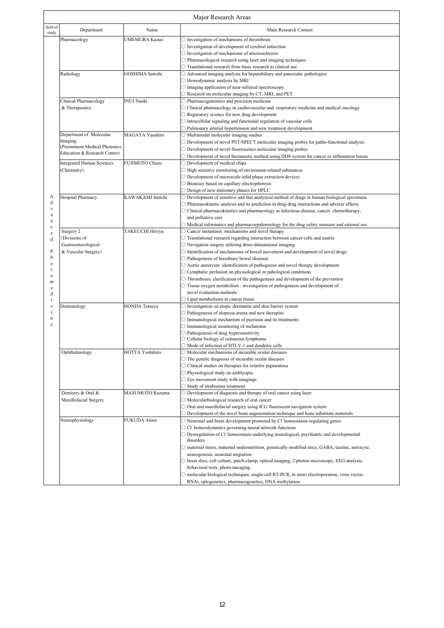| Major Research Areas             |                        |                                                                                                                 |  |
|----------------------------------|------------------------|-----------------------------------------------------------------------------------------------------------------|--|
| Department                       | Name                   | Main Research Content                                                                                           |  |
| Pharmacology                     | <b>UMEMURA Kazuo</b>   | $\bigcirc$ Investigation of mechanisms of thrombosis                                                            |  |
|                                  |                        | $\bigcirc$ Investigation of development of cerebral infarction                                                  |  |
|                                  |                        | O Investigation of mechanisms of arteriosclerosis                                                               |  |
|                                  |                        | $\bigcirc$ Pharmacological research using laser and imaging techniques                                          |  |
|                                  |                        | O Translational research from basic research to clinical use                                                    |  |
| Radiology                        | GOSHIMA Satoshi        | O Advanced imaging analysis for hepatobiliary and pancreatic pathologies                                        |  |
|                                  |                        |                                                                                                                 |  |
|                                  |                        | ○ Hemodynamic analysis by MRI                                                                                   |  |
|                                  |                        | $\bigcirc$ Imaging application of near-infrared spectroscopy                                                    |  |
|                                  |                        | O Research on molecular imaging by CT, MRI, and PET                                                             |  |
| Clinical Pharmacology            | <b>INUI Naoki</b>      | O Pharmacogenomics and precision medicine                                                                       |  |
| & Therapeutics                   |                        | O Clinical pharmacology in cardiovascular and respiratory medicine and medical oncology                         |  |
|                                  |                        | $\bigcirc$ Reguratory science for new drug development                                                          |  |
|                                  |                        | $\bigcirc$ Intracellular signaling and functional regulation of vascular cells                                  |  |
|                                  |                        | O Pulmonary arterial hypertension and new treatment development                                                 |  |
| Department of Molecular          | <b>MAGATA Yasuhiro</b> | ○ Multimodal molecular imaging studies                                                                          |  |
| Imaging                          |                        | $\circlearrowright$ Development of novel PET/SPECT molecular imaging probes for patho-functional analysis       |  |
| (Preeminent Medical Photonics    |                        | $\bigcirc$ Development of novel fluorescence molecular imaging probes                                           |  |
| Education & Research Center)     |                        | $\circlearrowright$ Development of novel theranostic method using DDS system for cancer or inflamation lesion   |  |
| <b>Integrated Human Sciences</b> | FUJIMOTO Chuzo         | O Development of medical chips                                                                                  |  |
|                                  |                        |                                                                                                                 |  |
| (Chemistry)                      |                        | $\bigcirc$ High sensitive monitoring of enviroment-related substances                                           |  |
|                                  |                        | O Development of microscale solid phase extraction devices                                                      |  |
|                                  |                        | O Bioassay based on capillary electrophoresis                                                                   |  |
|                                  |                        | ○ Design of new stationary phases for HPLC                                                                      |  |
| Hospital Pharmacy                | KAWAKAMI Junichi       | $\bigcirc$ Development of sensitive and fast analytical method of drugs in human biological specimens           |  |
|                                  |                        | $\bigcirc$ Pharmacokinetic analysis and its prediction in drug-drug interactions and adverse effects            |  |
|                                  |                        | O Clinical pharmacokinetics and pharmacology in infectious disease, cancer chemotherapy,                        |  |
|                                  |                        | and palliative care                                                                                             |  |
|                                  |                        | $\bigcirc$ Medical informatics and pharmacoepidemiology for the drug safety measure and rational use            |  |
| Surgery 2                        | TAKEUCHI Hiroya        | O Cancer metastasis: mechanisms and novel therapy                                                               |  |
| (Divisions of                    |                        | O Trasnlational research regarding interaction between cancer cells and matrix                                  |  |
|                                  |                        |                                                                                                                 |  |
| Gastroenterological              |                        | $\bigcirc$ Navigation surgery utilizing three-dimensional imaging                                               |  |
| & Vascular Surgery)              |                        | $\bigcirc$ Identification of mechanisms of bowel movement and development of novel drugs                        |  |
|                                  |                        | O Pathogenesis of hereditary bowel diseases                                                                     |  |
|                                  |                        | $\bigcirc$ Aortic aneurysm: identification of pathogensis and novel therapy development                         |  |
|                                  |                        | ○ Lymphatic perfusion on physiological or pahological conditions                                                |  |
|                                  |                        | $\bigcirc$ Thrombosis: clarification of the pathogenesis and development of the prevention                      |  |
|                                  |                        | O Tissue oxygen metabolism : investigation of pathogenesis and development of                                   |  |
|                                  |                        | novel evaluation methods                                                                                        |  |
|                                  |                        | $\bigcirc$ Lipid metabolisms in cancer tissue                                                                   |  |
| Dermatology                      | HONDA Tetsuya          | O Investigation on atopic dermatitis and skin barrier system                                                    |  |
|                                  |                        | $\bigcirc$ Pathogenesis of alopecia areata and new therapies                                                    |  |
|                                  |                        | $\bigcirc$ Immunological mechanism of psoriasis and its treatments                                              |  |
|                                  |                        | O Immunological monitoring of melanoma                                                                          |  |
|                                  |                        |                                                                                                                 |  |
|                                  |                        | $\bigcirc$ Pathogenesis of drug hypersensitivity                                                                |  |
|                                  |                        | ○ Cellular biology of cutnaeous lymphoma<br>$\bigcirc$ Mode of infection of HTLV-1 and dendritic cells          |  |
|                                  |                        |                                                                                                                 |  |
| Ophthalmology                    | <b>HOTTA Yoshihiro</b> | $\bigcirc$ Molecular mechanisms of incurable ocular diseases                                                    |  |
|                                  |                        | $\bigcirc$ The genetic diagnosis of incurable ocular diseases                                                   |  |
|                                  |                        | $\bigcirc$ Clinical studies on therapies for retinitis pigmentosa                                               |  |
|                                  |                        | O Physiological study on amblyopia                                                                              |  |
|                                  |                        | $\bigcirc$ Eye movement study with imagings                                                                     |  |
|                                  |                        | $\bigcirc$ Study of strabismus treatment                                                                        |  |
| Dentistry & Oral &               | MASUMOTO Kazuma        | O Development of diagnosis and therapy of oral cancer using laser                                               |  |
| Maxillofacial Surgery            |                        | ○ Molecularbiological research of oral cancer                                                                   |  |
|                                  |                        | $\bigcirc$ Oral and maxillofacial surgery using ICG fluorescent navigation system                               |  |
|                                  |                        | $\bigcirc$ Development of the novel bone augmentation technique and bone substitute materials                   |  |
|                                  |                        |                                                                                                                 |  |
| Neurophysiology                  | <b>FUKUDA Atsuo</b>    | O Neuronal and brain development promoted by Cl homeostasis-regulating genes                                    |  |
|                                  |                        | $\circlearrowright$ Cl homeodynamics governing neural network functions                                         |  |
|                                  |                        | $\bigcirc$ Dysregulation of CI homeostasis underlying neurological, psychiatric and developmental               |  |
|                                  |                        | disorders                                                                                                       |  |
|                                  |                        | $\bigcirc$ maternal stress, maternal undernutrition, genetically modified mice, GABA, taurine, astrocyte,       |  |
|                                  |                        | neurogenesis, neuronal migration                                                                                |  |
|                                  |                        | $\circlearrowright$ brain slice, cell culture, patch-clamp, optical imaging, 2 photon microscopy, EEG analysis, |  |
|                                  |                        | behavioral tests, photo-uncaging                                                                                |  |
|                                  |                        | ○ molecular biological techniques, single-cell RT-PCR, in utero electroporation, virus vector,                  |  |
|                                  |                        |                                                                                                                 |  |
|                                  |                        | RNAi, optogenetics, pharmacogenetics, DNA methylation                                                           |  |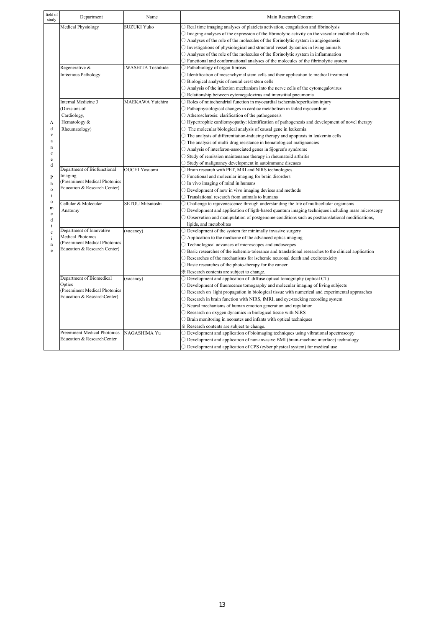| field of<br>study | Department                              | Name                      | Main Research Content                                                                                               |
|-------------------|-----------------------------------------|---------------------------|---------------------------------------------------------------------------------------------------------------------|
|                   | <b>Medical Physiology</b>               | <b>SUZUKI Yuko</b>        | $\bigcirc$ Real time imaging analyses of platelets activation, coagulation and fibrinolysis                         |
|                   |                                         |                           | $\circ$ Imaging analyses of the expression of the fibrinolytic activity on the vascular endothelial cells           |
|                   |                                         |                           | $\bigcirc$ Analyses of the role of the molecules of the fibrinolytic system in angiogenesis                         |
|                   |                                         |                           | $\bigcirc$ Investigations of physiological and structural vessel dynamics in living animals                         |
|                   |                                         |                           | $\bigcirc$ Analyses of the role of the molecules of the fibrinolytic system in inflammation                         |
|                   |                                         |                           | $\bigcirc$ Functional and conformational analyses of the molecules of the fibrinolytic system                       |
|                   | Regenerative &                          | <b>IWASHITA Toshihide</b> | O Pathobiology of organ fibrosis                                                                                    |
|                   | <b>Infectious Pathology</b>             |                           | $\bigcirc$ Identification of mesenchymal stem cells and their application to medical treatment                      |
|                   |                                         |                           | ○ Biological analysis of neural crest stem cells                                                                    |
|                   |                                         |                           | $\bigcirc$ Analysis of the infection mechanism into the nerve cells of the cytomegalovirus                          |
|                   |                                         |                           | O Relationship between cytomegalovirus and interstitial pneumonia                                                   |
|                   | Internal Medicine 3                     | MAEKAWA Yuichiro          | $\bigcirc$ Roles of mitochondrial function in myocardial ischemia/reperfusion injury                                |
|                   | Divisions of                            |                           | $\bigcirc$ Pathophysiological changes in cardiac metabolism in failed myocardium                                    |
| А                 | Cardiology,                             |                           | $\bigcirc$ Atherosclerosis: clarification of the pathogenesis                                                       |
|                   | Hematology &                            |                           | O Hypertrophic cardiomyopathy: identification of pathogenesis and development of novel therapy                      |
| d                 | Rheumatology)                           |                           | $\circlearrowright$ The molecular biological analysis of causal gene in leukemia                                    |
| $\mathbf{V}$      |                                         |                           | $\circ$ The analysis of differentiation-inducing therapy and apoptosis in leukemia cells                            |
| a                 |                                         |                           | $\circ$ The analysis of multi-drug resistance in hematological malignancies                                         |
| $\mathbf n$       |                                         |                           | ○ Analysis of interferon-associated genes in Sjogren's syndrome                                                     |
| c<br>$\rm e$<br>d |                                         |                           | $\bigcirc$ Study of remission maintenance therapy in rheumatoid arthritis                                           |
|                   |                                         |                           | $\circ$ Study of malignancy development in autoimmune diseases                                                      |
|                   | Department of Biofunctional             | <b>OUCHI Yasuomi</b>      | O Brain research with PET, MRI and NIRS technologies                                                                |
|                   | Imaging                                 |                           | $\bigcirc$ Functional and molecular imaging for brain disorders                                                     |
| $\mathbf{P}$      | (Preeminent Medical Photonics           |                           |                                                                                                                     |
| h<br>$\mathbf{o}$ | Education & Research Center)            |                           | $\bigcirc$ In vivo imaging of mind in humans                                                                        |
| t                 |                                         |                           | $\bigcirc$ Development of new in vivo imaging devices and methods                                                   |
| $\mathbf{o}$      | Cellular & Molecular                    | <b>SETOU Mitsutoshi</b>   | $\bigcirc$ Translational research from animals to humans                                                            |
| m                 |                                         |                           | $\circ$ Challenge to rejuvenescence through understanding the life of multicellular organisms                       |
| $\rm e$           | Anatomy                                 |                           | $\circlearrowright$ Development and application of ligth-based quantum imaging techniques including mass microscopy |
| d                 |                                         |                           | $\circlearrowright$ Observation and manipulation of postgenome conditions such as posttranslational modifications,  |
| $\mathbf{i}$      | Department of Innovative                |                           | lipids, and metobolites                                                                                             |
| $\mathbf c$       | <b>Medical Photonics</b>                | (vacancy)                 | $\bigcirc$ Development of the system for minimally invasive surgery                                                 |
| $\mathbf{i}$      | Preeminent Medical Photonics            |                           | $\bigcirc$ Application to the medicine of the advanced optics imaging                                               |
| $\mathbf n$       | Education & Research Center)            |                           | O Technological advances of microscopes and endoscopes                                                              |
| e                 |                                         |                           | $\bigcirc$ Basic researches of the ischemia-tolerance and translational researches to the clinical application      |
|                   |                                         |                           | $\bigcirc$ Researches of the mechanisms for ischemic neuronal death and excitotoxicity                              |
|                   |                                         |                           | ○ Basic researches of the photo-therapy for the cancer                                                              |
|                   |                                         |                           | * Research contents are subject to change.                                                                          |
|                   | Department of Biomedical                | (vacancy)                 | $\bigcirc$ Development and application of diffuse optical tomography (optical CT)                                   |
|                   | Optics<br>(Preeminent Medical Photonics |                           | O Development of fluorecence tomography and molecular imaging of living subjects                                    |
|                   | Education & ResearchCenter)             |                           | $\bigcirc$ Research on light propagation in biological tissue with numerical and experimental approaches            |
|                   |                                         |                           | O Research in brain function with NIRS, fMRI, and eye-tracking recording system                                     |
|                   |                                         |                           | $\bigcirc$ Neural mechanisms of human emotion generation and regulation                                             |
|                   |                                         |                           | $\bigcirc$ Research on oxygen dynamics in biological tissue with NIRS                                               |
|                   |                                         |                           | $\bigcirc$ Brain monitoring in neonates and infants with optical techniques                                         |
|                   |                                         |                           | * Research contents are subject to change.                                                                          |
|                   | Preeminent Medical Photonics            | NAGASHIMA Yu              | O Development and application of bioimaging techniques using vibrational spectroscopy                               |
|                   | Education & ResearchCenter              |                           | $\bigcirc$ Development and application of non-invasive BMI (brain-machine interface) technology                     |
|                   |                                         |                           | $\bigcirc$ Development and application of CPS (cyber physical system) for medical use                               |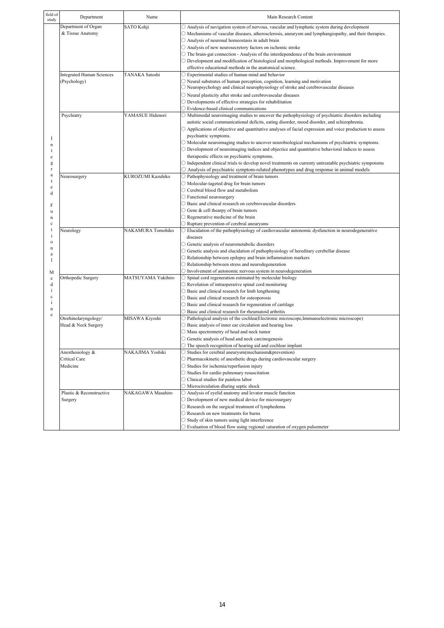| field of<br>study | Department                       | Name               | Main Research Content                                                                                              |
|-------------------|----------------------------------|--------------------|--------------------------------------------------------------------------------------------------------------------|
|                   | Department of Organ              | SATO Kohji         | $\bigcirc$ Analysis of navigation system of nervous, vascular and lymphatic system during development              |
|                   | & Tissue Anatomy                 |                    | $\circ$ Mechanisms of vascular diseases, atherosclerosis, aneurysm and lymphangiopathy, and their therapies.       |
|                   |                                  |                    | $\bigcirc$ Analysis of neuronal homeostasis in adult brain                                                         |
|                   |                                  |                    | O Analysis of new neurosecretory factors on ischemic stroke                                                        |
|                   |                                  |                    | $\bigcirc$ The brain-gut connection - Analysis of the interdependence of the brain environment                     |
|                   |                                  |                    | $\bigcirc$ Development and modification of histological and morphological methods. Improvement for more            |
|                   |                                  |                    | effective educational methods in the anatomical science.                                                           |
|                   | <b>Integrated Human Sciences</b> | TANAKA Satoshi     | $\supset$ Experimental studies of human mind and behavior                                                          |
|                   | (Psychology)                     |                    | $\supset$ Neural substrates of human perception, cognition, learning and motivation                                |
|                   |                                  |                    | O Neuropsychology and clinical neurophysiology of stroke and cerebrovascular diseases                              |
|                   |                                  |                    | $\bigcirc$ Neural plasticity after stroke and cerebrovascular diseases                                             |
|                   |                                  |                    | $\bigcirc$ Developments of effective strategies for rehabilitation                                                 |
|                   |                                  |                    | $\bigcirc$ Evidence-based clinical communications                                                                  |
|                   | Psychiatry                       | YAMASUE Hidenori   | O Multimodal neuroimaging studies to uncover the pathophysiology of psychiatric disorders including                |
|                   |                                  |                    | autistic social communicational deficits, eating disorder, mood disorder, and schizophrenia.                       |
|                   |                                  |                    | $\bigcirc$ Applications of objective and quantitative analyses of facial expression and voice production to assess |
|                   |                                  |                    | psychiatric symptoms.                                                                                              |
|                   |                                  |                    | $\circ$ Molecular neuroimaging studies to uncover neurobiological mechanisms of psychiartric symptoms.             |
|                   |                                  |                    | $\bigcirc$ Development of neuroimaging indices and objectice and quantitative behavioral indices to assess         |
|                   |                                  |                    | therapeutic effects on psychiatric symptoms.                                                                       |
|                   |                                  |                    | $\bigcirc$ Independent clinical trials to develop novel treatments on currenty untreatable psychiatric sympotoms   |
|                   |                                  |                    | $\bigcirc$ Analysis of psychiatric symptom-related phenotypes and drug response in animal models                   |
|                   | Neurosurgery                     | KUROZUMI Kazuhiko  | O Pathophysiology and treatment of brain tumors                                                                    |
|                   |                                  |                    | O Molecular-tageted drug for brain tumors                                                                          |
|                   |                                  |                    | ○ Cerebral blood flow and metabolism                                                                               |
|                   |                                  |                    | ○ Functional neurosurgery                                                                                          |
|                   |                                  |                    | O Basic and clinical research on cerebrovascular disorders                                                         |
|                   |                                  |                    | $\bigcirc$ Gene & cell thearpy of brain tumors                                                                     |
|                   |                                  |                    | $\bigcirc$ Regenerative medicine of the brain                                                                      |
|                   |                                  |                    | $\bigcirc$ Rupture prevention of cerebral aneurysms                                                                |
|                   | Neurology                        | NAKAMURA Tomohiko  | $\bigcirc$ Elucidation of the pathophysiology of cardiovascular autonomic dysfunction in neurodegenerative         |
|                   |                                  |                    | diseases                                                                                                           |
|                   |                                  |                    | O Genetic analysis of neurometabolic disorders                                                                     |
|                   |                                  |                    | O Genetic analysis and elucidation of pathophysiology of hereditary cerebellar disease                             |
|                   |                                  |                    | $\bigcirc$ Relationship between epilepsy and brain inflammation markers                                            |
|                   |                                  |                    | O Relationship between stress and neurodegeneration                                                                |
|                   |                                  |                    | $\bigcirc$ Involvement of autonomic nervous system in neurodegeneration                                            |
|                   | Orthopedic Surgery               | MATSUYAMA Yukihiro | $\bigcirc$ Spinal cord regeneration estimated by molecular biology                                                 |
|                   |                                  |                    | $\bigcirc$ Revolution of intraoperative spinal cord monitoring                                                     |
|                   |                                  |                    | $\bigcirc$ Basic and clinical research for limb lengthening                                                        |
|                   |                                  |                    | ○ Basic and clinical research for osteoporosis                                                                     |
|                   |                                  |                    | ○ Basic and clinical research for regeneration of cartilage                                                        |
|                   |                                  |                    | $\bigcirc$ Basic and clinical research for rheumatoid arthritis                                                    |
|                   | Otorhinolaryngology/             | MISAWA Kiyoshi     | $\circ$ Pathological analysis of the cochlea (Electronic microscope, Immunoelectronic microscope)                  |
|                   | Head & Neck Surgery              |                    | $\bigcirc$ Basic analysis of inner ear circulation and hearing loss                                                |
|                   |                                  |                    | $\bigcirc$ Mass spectrometry of head and neck tumor                                                                |
|                   |                                  |                    | $\bigcirc$ Genetic analysis of head and neck carcinogenesis                                                        |
|                   |                                  |                    | $\bigcirc$ The speech recognition of hearing aid and cochlear implant                                              |
|                   | Anesthesiology &                 | NAKAJIMA Yoshiki   | ○ Studies for cerebral aneurysm(mechanism&prevention)                                                              |
|                   | Critical Care                    |                    | $\bigcirc$ Pharmacokinetic of anesthetic drugs during cardiovascular surgery                                       |
|                   | Medicine                         |                    | $\bigcirc$ Studies for ischemia/reperfusion injury                                                                 |
|                   |                                  |                    | ○ Studies for cardio pulmonary resuscitation                                                                       |
|                   |                                  |                    | O Clinical studies for painless labor                                                                              |
|                   |                                  |                    | O Microcirculation dluring septic shock                                                                            |
|                   | Plastic & Reconstructive         | NAKAGAWA Masahiro  |                                                                                                                    |
|                   |                                  |                    | O Analysis of eyelid anatomy and levator muscle function                                                           |
|                   | Surgery                          |                    | O Development of new medical device for microsurgary                                                               |
|                   |                                  |                    | O Research on the surgical treatment of lymphedema                                                                 |
|                   |                                  |                    | O Research on new treatments for burns                                                                             |
|                   |                                  |                    | $\bigcirc$ Study of skin tumors using light interference                                                           |
|                   |                                  |                    | ○ Evaluation of blood flow using regional saturation of oxygen pulsometer                                          |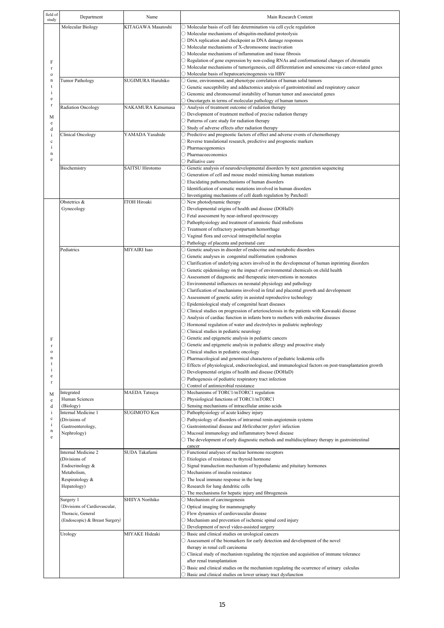| field of<br>study | Department                           | Name                   | Main Research Content                                                                                                                                                                           |
|-------------------|--------------------------------------|------------------------|-------------------------------------------------------------------------------------------------------------------------------------------------------------------------------------------------|
|                   | Molecular Biology                    | KITAGAWA Masatoshi     | $\bigcirc$ Molecular basis of cell fate determination via cell cycle regulation                                                                                                                 |
|                   |                                      |                        | $\bigcirc$ Molecular mechanisms of ubiquitin-mediated proteolysis                                                                                                                               |
|                   |                                      |                        | ○ DNA replication and checkpoint as DNA damage responses<br>$\bigcirc$ Molecular mechanisms of X-chromosome inactivation                                                                        |
|                   |                                      |                        | $\bigcirc$ Molecular mechanisms of inflammation and tissue fibrosis                                                                                                                             |
| F                 |                                      |                        | $\circ$ Regulation of gene expression by non-coding RNAs and conformational changes of chromatin                                                                                                |
| $\mathbf r$       |                                      |                        | $\circlearrowright$ Molecular mechanisms of tumorigenesis, cell differentiation and senescense via cancer-related genes                                                                         |
| $\mathbf{o}$      |                                      |                        | O Molecular basis of hepatocaricinogenesis via HBV                                                                                                                                              |
| n<br>t            | <b>Tumor Pathology</b>               | SUGIMURA Haruhiko      | $\bigcirc$ Gene, environment, and phenotype correlation of human solid tumors<br>$\circlearrowright$ Genetic susceptibility and adductomics analysis of gastrointestinal and respiratory cancer |
| $\mathbf{i}$      |                                      |                        | $\bigcirc$ Genomic and chromosomal instability of human tumor and associated genes                                                                                                              |
| e                 |                                      |                        | $\bigcirc$ Oncotargets in terms of molecular pathology of human tumors                                                                                                                          |
| $\mathbf r$       | Radiation Oncology                   | NAKAMURA Katsumasa     | $\bigcirc$ Analysis of treatment outcome of radiation therapy                                                                                                                                   |
| М                 |                                      |                        | $\bigcirc$ Development of treatment method of precise radiation therapy                                                                                                                         |
| e<br>d            |                                      |                        | $\bigcirc$ Patterns of care study for radiation therapy<br>○ Study of adverse effects after radiation therapy                                                                                   |
| i                 | Clinical Oncology                    | YAMADA Yasuhide        | O Predictive and prognostic factors of effect and adverse events of chemotherapy                                                                                                                |
| $\mathbf c$       |                                      |                        | O Reverse translational research, predictive and prognostic markers                                                                                                                             |
| i<br>n            |                                      |                        | $\bigcirc$ Pharmacogenomics                                                                                                                                                                     |
| e                 |                                      |                        | O Pharmacoeconomics<br>$\bigcirc$ Palliative care                                                                                                                                               |
|                   | Biochemistry                         | <b>SAITSU Hirotomo</b> | O Genetic analysis of neurodevelopmental disorders by next generation sequencing                                                                                                                |
|                   |                                      |                        | $\bigcirc$ Generation of cell and mouse model mimicking human mutations                                                                                                                         |
|                   |                                      |                        | $\bigcirc$ Elucidating pathomechanisms of human disorders                                                                                                                                       |
|                   |                                      |                        | $\bigcirc$ Identification of somatic mutations involved in human disorders                                                                                                                      |
|                   | Obstetrics &                         | <b>ITOH Hiroaki</b>    | $\bigcirc$ Investigating mechanisms of cell death regulation by Patched 1<br>$\bigcirc$ New photodynamic therapy                                                                                |
|                   | Gynecology                           |                        | O Developmental origins of health and disease (DOHaD)                                                                                                                                           |
|                   |                                      |                        | $\bigcirc$ Fetal assessment by near-infrared spectroscopy                                                                                                                                       |
|                   |                                      |                        | ○ Pathophysiology and treatment of amniotic fluid embolisms                                                                                                                                     |
|                   |                                      |                        | O Treatment of refractory postpartum hemorrhage<br>$\bigcirc$ Vaginal flora and cervical intraepithelial neoplas                                                                                |
|                   |                                      |                        | ○ Pathology of placenta and perinatal care                                                                                                                                                      |
|                   | Pediatrics                           | MIYAIRI Isao           | O Genetic analyses in disorder of endocrine and metabolic disorders                                                                                                                             |
|                   |                                      |                        | $\bigcirc$ Genetic analyses in congenital malformation syndromes                                                                                                                                |
|                   |                                      |                        | $\circlearrowright$ Clarification of underlying actors involved in the developmenat of human inprinting disorders                                                                               |
|                   |                                      |                        | $\bigcirc$ Genetic epidemiology on the impact of environmental chemicals on child health<br>$\bigcirc$ Assessment of diagnostic and therapeutic interventions in neonates                       |
|                   |                                      |                        | $\bigcirc$ Environmental influences on neonatal physiology and pathology                                                                                                                        |
|                   |                                      |                        | $\bigcirc$ Clarification of mechanisms involved in fetal and placental growth and development                                                                                                   |
|                   |                                      |                        | O Assessment of genetic safety in assisted reproductive technology                                                                                                                              |
|                   |                                      |                        | ○ Epidemiological study of congenital heart diseases                                                                                                                                            |
|                   |                                      |                        | $\circ$ Clinical studies on progression of arteriosclerosis in the patients with Kawasaki disease<br>$\bigcirc$ Analysis of cardiac function in infants born to mothers with endocrine diseases |
|                   |                                      |                        | O Hormonal regulation of water and electrolytes in pediatric nephrology                                                                                                                         |
|                   |                                      |                        | $\bigcirc$ Clinical studies in pediatric neurology                                                                                                                                              |
| F                 |                                      |                        | $\bigcirc$ Genetic and epigenetic analysis in pediatric cancers                                                                                                                                 |
| $\mathbf{o}$      |                                      |                        | $\bigcirc$ Genetic and epigenetic analysis in pediatric allergy and proactive study<br>O Clinical studies in pediatric oncology                                                                 |
| n                 |                                      |                        | O Pharmacological and genomical characteres of pediatric leukemia cells                                                                                                                         |
| t                 |                                      |                        | ○ Effects of physiological, endocrinological, and immunological factors on post-transplantation growth                                                                                          |
| $\mathbf{1}$<br>e |                                      |                        | O Developmental origins of health and disease (DOHaD)                                                                                                                                           |
| $\mathbf{r}$      |                                      |                        | O Pathogenesis of pediatric respiratory tract infection<br>○ Control of antimicrobial resistance                                                                                                |
|                   | Integrated                           | <b>MAEDA</b> Tatsuya   | O Mechanisms of TORC1/mTORC1 regulation                                                                                                                                                         |
| М<br>e            | Human Sciences                       |                        | ○ Physiological functions of TORC1/mTORC1                                                                                                                                                       |
| d                 | (Biology)                            |                        | $\bigcirc$ Sensing mechanisms of intracellular amino acids                                                                                                                                      |
| i<br>$\mathbf{c}$ | Internal Medicine 1<br>(Divisions of | SUGIMOTO Ken           | O Pathophysiology of acute kidney injury<br>O Pathysiology of disorders of intrarenal renin-angiotensin systems                                                                                 |
| $\mathbf{i}$      | Gastroenterology,                    |                        | ○ Gastrointestinal disease and Helicobacter pylori infection                                                                                                                                    |
| n                 | Nephrology)                          |                        | O Mucosal immunology and inflammatory bowel disease                                                                                                                                             |
| e                 |                                      |                        | $\circ$ The development of early diagnostic methods and multidisciplinary therapy in gastrointestinal                                                                                           |
|                   | Internal Medicine 2                  | SUDA Takafumi          | cancer<br>○ Functional analyses of nuclear hormone receptors                                                                                                                                    |
|                   | (Divisions of                        |                        | ○ Etiologies of resistance to thyroid hormone                                                                                                                                                   |
|                   | Endocrinology &                      |                        | $\bigcirc$ Signal transduction mechanism of hypothalamic and pituitary hormones                                                                                                                 |
|                   | Metabolism,                          |                        | $\bigcirc$ Mechanisms of insulin resistance                                                                                                                                                     |
|                   | Respiratology &<br>Hepatology)       |                        | $\bigcirc$ The local immune response in the lung                                                                                                                                                |
|                   |                                      |                        | ○ Research for lung dendritic cells<br>O The mechanisms for hepatic injury and fibrogenesis                                                                                                     |
|                   | Surgery 1                            | SHIIYA Norihiko        | O Mechanism of carcinogenesis                                                                                                                                                                   |
|                   | (Divisions of Cardiovascular,        |                        | $\bigcirc$ Optical imaging for mammography                                                                                                                                                      |
|                   | Thoracic, General                    |                        | O Flow dynamics of cardiovascular disease                                                                                                                                                       |
|                   | (Endoscopic) & Breast Surgery)       |                        | $\bigcirc$ Mechanism and prevention of ischemic spinal cord injury<br>$\bigcirc$ Development of novel video-assisted surgery                                                                    |
|                   | Urology                              | MIYAKE Hideaki         | ○ Basic and clinical studies on urological cancers                                                                                                                                              |
|                   |                                      |                        | O Assessment of the biomarkers for early detection and development of the novel                                                                                                                 |
|                   |                                      |                        | therapy in renal cell carcinoma                                                                                                                                                                 |
|                   |                                      |                        | $\bigcirc$ Clinical study of mechanism regulating the rejection and acquisition of immune tolerance<br>after renal transplantation                                                              |
|                   |                                      |                        | $\bigcirc$ Basic and clinical studies on the mechanism regulating the ocurrence of urinary calculus                                                                                             |
|                   |                                      |                        | ○ Basic and clinical studies on lower urinary tract dysfunction                                                                                                                                 |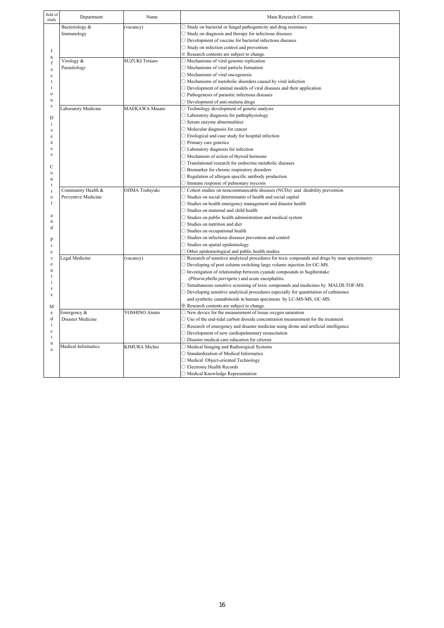| field of<br>study | Department          | Name                  | Main Research Content                                                                                  |
|-------------------|---------------------|-----------------------|--------------------------------------------------------------------------------------------------------|
|                   | Bacteriology &      | (vacancy)             | ○ Study on bacterial or fungal pathogenicity and drug resistance                                       |
|                   | Immunology          |                       | ○ Study on diagnosis and therapy for infectious diseases                                               |
|                   |                     |                       | $\bigcirc$ Development of vaccine for bacterial infectious diseases                                    |
|                   |                     |                       | $\bigcirc$ Study on infection control and prevention                                                   |
| I                 |                     |                       | * Research contents are subject to change.                                                             |
| $\mathbf n$       | Virology &          | <b>SUZUKI</b> Tetsuro | $\bigcirc$ Mechanisms of viral genome replication                                                      |
| f<br>e            | Parasitology        |                       | $\bigcirc$ Mechanisms of viral particle formation                                                      |
| $\mathbf{c}$      |                     |                       | $\bigcirc$ Mechanisms of viral oncogenesis                                                             |
| t                 |                     |                       | $\bigcirc$ Mechanisms of metobolic disorders caused by viral infection                                 |
| i                 |                     |                       | $\bigcirc$ Development of animal models of viral diseases and their application                        |
| $\Omega$          |                     |                       | $\bigcirc$ Pathogenesis of parasitic infectious diseases                                               |
| u                 |                     |                       | O Development of anti-malaria drugs                                                                    |
| ${\bf S}$         | Laboratory Medicine | <b>MAEKAWA</b> Masato | O Technology development of genetic analysis                                                           |
|                   |                     |                       | $\bigcirc$ Laboratory diagnosis for pathophysiology                                                    |
| D                 |                     |                       | $\bigcirc$ Serum enzyme abnormalities                                                                  |
| $\mathbf{i}$      |                     |                       | $\bigcirc$ Molecular diagnosis for cancer                                                              |
| s                 |                     |                       |                                                                                                        |
| e                 |                     |                       | $\bigcirc$ Etiological and case study for hospital infection                                           |
| a<br>s            |                     |                       | $\bigcirc$ Primary care genetics                                                                       |
| e                 |                     |                       | ○ Laboratory diagnosis for infection                                                                   |
|                   |                     |                       | O Mechanism of action of thyroid hormone                                                               |
| Ċ                 |                     |                       | $\bigcirc$ Translational research for endocrine metabolic diseases                                     |
| $\mathbf{o}$      |                     |                       | ○ Biomarker for chronic respiratory disorders                                                          |
| $\mathbf n$       |                     |                       | $\bigcirc$ Regulation of allergen specific antibody production                                         |
| t                 |                     |                       | $\bigcirc$ Immune response of pulmonary mycosis                                                        |
| $\mathbf{r}$      | Community Health &  | OJIMA Toshiyuki       | $\circ$ Cohort studies on noncommunicable diseases (NCDs) and disability prevention                    |
| $\mathbf{o}$      | Preventive Medicine |                       | $\bigcirc$ Studies on social determinants of health and social capital                                 |
| 1                 |                     |                       | $\bigcirc$ Studies on health emergency management and disaster health                                  |
| a                 |                     |                       | ○ Studies on maternal and child health                                                                 |
| $\mathbf n$       |                     |                       | $\bigcirc$ Studies on public health administration and medical system                                  |
| d                 |                     |                       | $\bigcirc$ Studies on nutrition and diet                                                               |
|                   |                     |                       | ○ Studies on occupational health                                                                       |
| $\mathbf P$       |                     |                       | $\bigcirc$ Studies on infectious diseases prevention and control                                       |
| $\mathbf{r}$      |                     |                       | ○ Studies on spatial epidemiology                                                                      |
| e                 |                     |                       | $\bigcirc$ Other epidemiological and public health studies                                             |
| V                 | Legal Medicine      | (vacancy)             | $\circ$ Research of sensitive analytical procedures for toxic conpounds and drugs by man spectrometry. |
| e                 |                     |                       | $\circ$ Developing of post column switching large volume injection for GC-MS.                          |
| $\mathbf n$       |                     |                       | $\bigcirc$ Investigation of relationship between cyanide compounds in Sugihiratake                     |
| i                 |                     |                       | (Pleurocybella porrigens) and acute encephalitis.                                                      |
| V                 |                     |                       | $\circ$ Simultaneous sensitive screening of toxic compounds and medicines by MALDI-TOF-MS.             |
| e                 |                     |                       | O Developing sensitive analytical procedures especially for quantitation of cathinones                 |
|                   |                     |                       | and synthetic cannabinoids in human specimens by LC-MS-MS, GC-MS.                                      |
| М                 |                     |                       | X Research contents are subject to change.                                                             |
| e                 | Emergency &         | YOSHINO Atsuto        | $\bigcirc$ New device for the measurement of tissue oxygen saturation                                  |
| d                 | Disaster Medicine   |                       | $\bigcirc$ Use of the end-tidal carbon dioxide concentration measurement for the treatment             |
| i                 |                     |                       | O Research of emergency and disaster medicine using drone and artificial intelligence                  |
| $\mathbf c$       |                     |                       | $\bigcirc$ Development of new cardiopulmonary resuscitation                                            |
| i                 |                     |                       | $\bigcirc$ Disaster medical care education for citizens                                                |
| $\mathbf n$       | Medical Informatics | KIMURA Michio         | O Medical Imaging and Radiorogical Systems                                                             |
| e                 |                     |                       | ○ Standardization of Medical Informatics                                                               |
|                   |                     |                       | O Medical Object-oriented Technology                                                                   |
|                   |                     |                       | ○ Electronic Health Records                                                                            |
|                   |                     |                       | O Medical Knowledge Representation                                                                     |